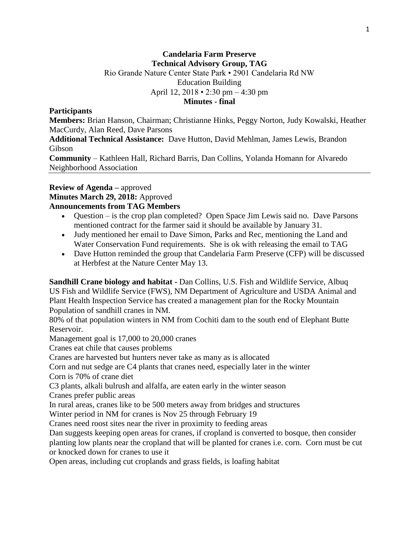## **Candelaria Farm Preserve Technical Advisory Group, TAG** Rio Grande Nature Center State Park • 2901 Candelaria Rd NW Education Building April 12, 2018 • 2:30 pm – 4:30 pm **Minutes - final**

#### **Participants**

**Members:** Brian Hanson, Chairman; Christianne Hinks, Peggy Norton, Judy Kowalski, Heather MacCurdy, Alan Reed, Dave Parsons

**Additional Technical Assistance:** Dave Hutton, David Mehlman, James Lewis, Brandon Gibson

**Community** – Kathleen Hall, Richard Barris, Dan Collins, Yolanda Homann for Alvaredo Neighborhood Association

# **Review of Agenda –** approved **Minutes March 29, 2018:** Approved

### **Announcements from TAG Members**

- Question is the crop plan completed? Open Space Jim Lewis said no. Dave Parsons mentioned contract for the farmer said it should be available by January 31.
- Judy mentioned her email to Dave Simon, Parks and Rec, mentioning the Land and Water Conservation Fund requirements. She is ok with releasing the email to TAG
- Dave Hutton reminded the group that Candelaria Farm Preserve (CFP) will be discussed at Herbfest at the Nature Center May 13.

**Sandhill Crane biology and habitat -** Dan Collins, U.S. Fish and Wildlife Service, Albuq US Fish and Wildlife Service (FWS), NM Department of Agriculture and USDA Animal and Plant Health Inspection Service has created a management plan for the Rocky Mountain Population of sandhill cranes in NM.

80% of that population winters in NM from Cochiti dam to the south end of Elephant Butte Reservoir.

Management goal is 17,000 to 20,000 cranes

Cranes eat chile that causes problems

Cranes are harvested but hunters never take as many as is allocated

Corn and nut sedge are C4 plants that cranes need, especially later in the winter

Corn is 70% of crane diet

C3 plants, alkali bulrush and alfalfa, are eaten early in the winter season

Cranes prefer public areas

In rural areas, cranes like to be 500 meters away from bridges and structures

Winter period in NM for cranes is Nov 25 through February 19

Cranes need roost sites near the river in proximity to feeding areas

Dan suggests keeping open areas for cranes, if cropland is converted to bosque, then consider

planting low plants near the cropland that will be planted for cranes i.e. corn. Corn must be cut or knocked down for cranes to use it

Open areas, including cut croplands and grass fields, is loafing habitat